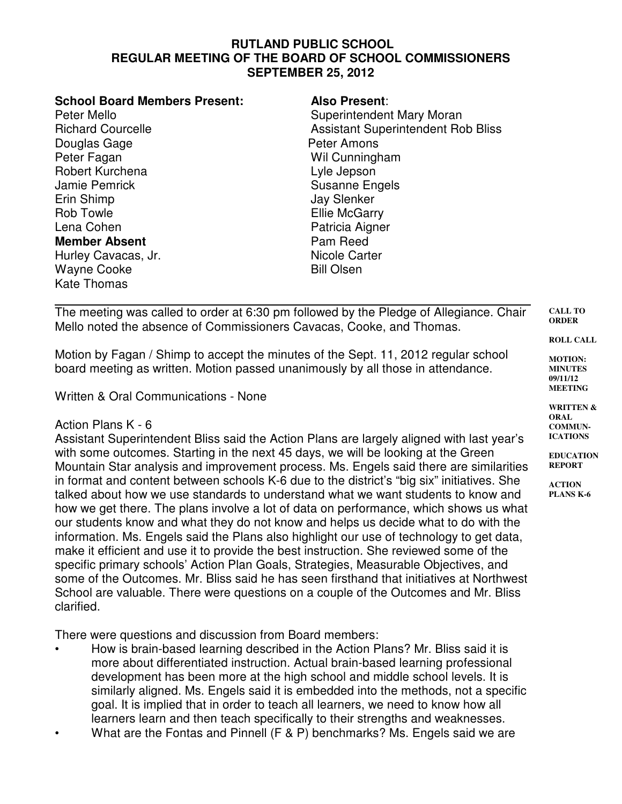## **RUTLAND PUBLIC SCHOOL REGULAR MEETING OF THE BOARD OF SCHOOL COMMISSIONERS SEPTEMBER 25, 2012**

| <b>School Board Members Present:</b> | <b>Also Present:</b>                      |
|--------------------------------------|-------------------------------------------|
| Peter Mello                          | Superintendent Mary Moran                 |
| <b>Richard Courcelle</b>             | <b>Assistant Superintendent Rob Bliss</b> |
| Douglas Gage                         | Peter Amons                               |
| Peter Fagan                          | Wil Cunningham                            |
| Robert Kurchena                      | Lyle Jepson                               |
| Jamie Pemrick                        | <b>Susanne Engels</b>                     |
| Erin Shimp                           | <b>Jay Slenker</b>                        |
| Rob Towle                            | <b>Ellie McGarry</b>                      |
| Lena Cohen                           | Patricia Aigner                           |
| <b>Member Absent</b>                 | Pam Reed                                  |
| Hurley Cavacas, Jr.                  | Nicole Carter                             |
| Wayne Cooke                          | <b>Bill Olsen</b>                         |
| Kate Thomas                          |                                           |

The meeting was called to order at 6:30 pm followed by the Pledge of Allegiance. Chair Mello noted the absence of Commissioners Cavacas, Cooke, and Thomas.

Motion by Fagan / Shimp to accept the minutes of the Sept. 11, 2012 regular school board meeting as written. Motion passed unanimously by all those in attendance.

Written & Oral Communications - None

## Action Plans K - 6

Assistant Superintendent Bliss said the Action Plans are largely aligned with last year's with some outcomes. Starting in the next 45 days, we will be looking at the Green Mountain Star analysis and improvement process. Ms. Engels said there are similarities in format and content between schools K-6 due to the district's "big six" initiatives. She talked about how we use standards to understand what we want students to know and how we get there. The plans involve a lot of data on performance, which shows us what our students know and what they do not know and helps us decide what to do with the information. Ms. Engels said the Plans also highlight our use of technology to get data, make it efficient and use it to provide the best instruction. She reviewed some of the specific primary schools' Action Plan Goals, Strategies, Measurable Objectives, and some of the Outcomes. Mr. Bliss said he has seen firsthand that initiatives at Northwest School are valuable. There were questions on a couple of the Outcomes and Mr. Bliss clarified.

There were questions and discussion from Board members:

- How is brain-based learning described in the Action Plans? Mr. Bliss said it is more about differentiated instruction. Actual brain-based learning professional development has been more at the high school and middle school levels. It is similarly aligned. Ms. Engels said it is embedded into the methods, not a specific goal. It is implied that in order to teach all learners, we need to know how all learners learn and then teach specifically to their strengths and weaknesses.
- What are the Fontas and Pinnell (F & P) benchmarks? Ms. Engels said we are

**CALL TO ORDER**

**ROLL CALL**

**MOTION: MINUTES 09/11/12 MEETING**

**WRITTEN & ORAL COMMUN-ICATIONS**

**EDUCATION REPORT**

**ACTION PLANS K-6**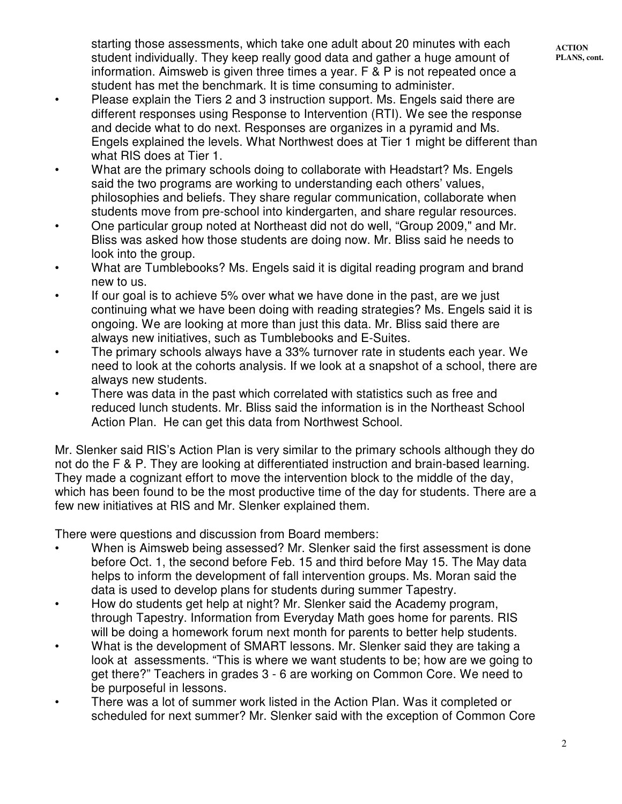starting those assessments, which take one adult about 20 minutes with each student individually. They keep really good data and gather a huge amount of information. Aimsweb is given three times a year. F & P is not repeated once a student has met the benchmark. It is time consuming to administer.

- Please explain the Tiers 2 and 3 instruction support. Ms. Engels said there are different responses using Response to Intervention (RTI). We see the response and decide what to do next. Responses are organizes in a pyramid and Ms. Engels explained the levels. What Northwest does at Tier 1 might be different than what RIS does at Tier 1.
- What are the primary schools doing to collaborate with Headstart? Ms. Engels said the two programs are working to understanding each others' values, philosophies and beliefs. They share regular communication, collaborate when students move from pre-school into kindergarten, and share regular resources.
- One particular group noted at Northeast did not do well, "Group 2009," and Mr. Bliss was asked how those students are doing now. Mr. Bliss said he needs to look into the group.
- What are Tumblebooks? Ms. Engels said it is digital reading program and brand new to us.
- If our goal is to achieve 5% over what we have done in the past, are we just continuing what we have been doing with reading strategies? Ms. Engels said it is ongoing. We are looking at more than just this data. Mr. Bliss said there are always new initiatives, such as Tumblebooks and E-Suites.
- The primary schools always have a 33% turnover rate in students each year. We need to look at the cohorts analysis. If we look at a snapshot of a school, there are always new students.
- There was data in the past which correlated with statistics such as free and reduced lunch students. Mr. Bliss said the information is in the Northeast School Action Plan. He can get this data from Northwest School.

Mr. Slenker said RIS's Action Plan is very similar to the primary schools although they do not do the F & P. They are looking at differentiated instruction and brain-based learning. They made a cognizant effort to move the intervention block to the middle of the day, which has been found to be the most productive time of the day for students. There are a few new initiatives at RIS and Mr. Slenker explained them.

There were questions and discussion from Board members:

- When is Aimsweb being assessed? Mr. Slenker said the first assessment is done before Oct. 1, the second before Feb. 15 and third before May 15. The May data helps to inform the development of fall intervention groups. Ms. Moran said the data is used to develop plans for students during summer Tapestry.
- How do students get help at night? Mr. Slenker said the Academy program, through Tapestry. Information from Everyday Math goes home for parents. RIS will be doing a homework forum next month for parents to better help students.
- What is the development of SMART lessons. Mr. Slenker said they are taking a look at assessments. "This is where we want students to be; how are we going to get there?" Teachers in grades 3 - 6 are working on Common Core. We need to be purposeful in lessons.
- There was a lot of summer work listed in the Action Plan. Was it completed or scheduled for next summer? Mr. Slenker said with the exception of Common Core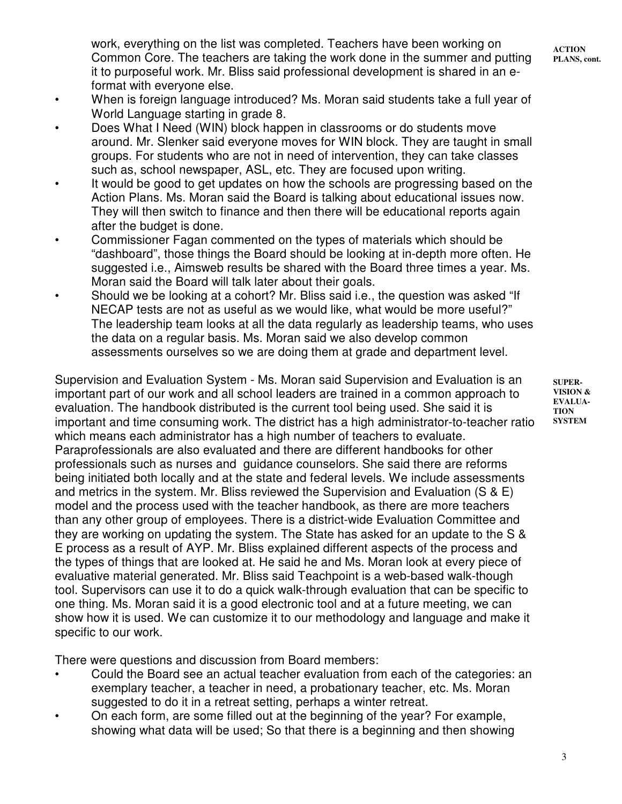work, everything on the list was completed. Teachers have been working on Common Core. The teachers are taking the work done in the summer and putting it to purposeful work. Mr. Bliss said professional development is shared in an eformat with everyone else.

- **ACTION PLANS, cont.**
- When is foreign language introduced? Ms. Moran said students take a full year of World Language starting in grade 8.
- Does What I Need (WIN) block happen in classrooms or do students move around. Mr. Slenker said everyone moves for WIN block. They are taught in small groups. For students who are not in need of intervention, they can take classes such as, school newspaper, ASL, etc. They are focused upon writing.
- It would be good to get updates on how the schools are progressing based on the Action Plans. Ms. Moran said the Board is talking about educational issues now. They will then switch to finance and then there will be educational reports again after the budget is done.
- Commissioner Fagan commented on the types of materials which should be "dashboard", those things the Board should be looking at in-depth more often. He suggested i.e., Aimsweb results be shared with the Board three times a year. Ms. Moran said the Board will talk later about their goals.
- Should we be looking at a cohort? Mr. Bliss said i.e., the question was asked "If NECAP tests are not as useful as we would like, what would be more useful?" The leadership team looks at all the data regularly as leadership teams, who uses the data on a regular basis. Ms. Moran said we also develop common assessments ourselves so we are doing them at grade and department level.

Supervision and Evaluation System - Ms. Moran said Supervision and Evaluation is an important part of our work and all school leaders are trained in a common approach to evaluation. The handbook distributed is the current tool being used. She said it is important and time consuming work. The district has a high administrator-to-teacher ratio which means each administrator has a high number of teachers to evaluate. Paraprofessionals are also evaluated and there are different handbooks for other professionals such as nurses and guidance counselors. She said there are reforms being initiated both locally and at the state and federal levels. We include assessments and metrics in the system. Mr. Bliss reviewed the Supervision and Evaluation (S & E) model and the process used with the teacher handbook, as there are more teachers than any other group of employees. There is a district-wide Evaluation Committee and they are working on updating the system. The State has asked for an update to the S & E process as a result of AYP. Mr. Bliss explained different aspects of the process and the types of things that are looked at. He said he and Ms. Moran look at every piece of evaluative material generated. Mr. Bliss said Teachpoint is a web-based walk-though tool. Supervisors can use it to do a quick walk-through evaluation that can be specific to one thing. Ms. Moran said it is a good electronic tool and at a future meeting, we can show how it is used. We can customize it to our methodology and language and make it specific to our work.

There were questions and discussion from Board members:

- Could the Board see an actual teacher evaluation from each of the categories: an exemplary teacher, a teacher in need, a probationary teacher, etc. Ms. Moran suggested to do it in a retreat setting, perhaps a winter retreat.
- On each form, are some filled out at the beginning of the year? For example, showing what data will be used; So that there is a beginning and then showing

**SUPER-VISION & EVALUA-TION SYSTEM**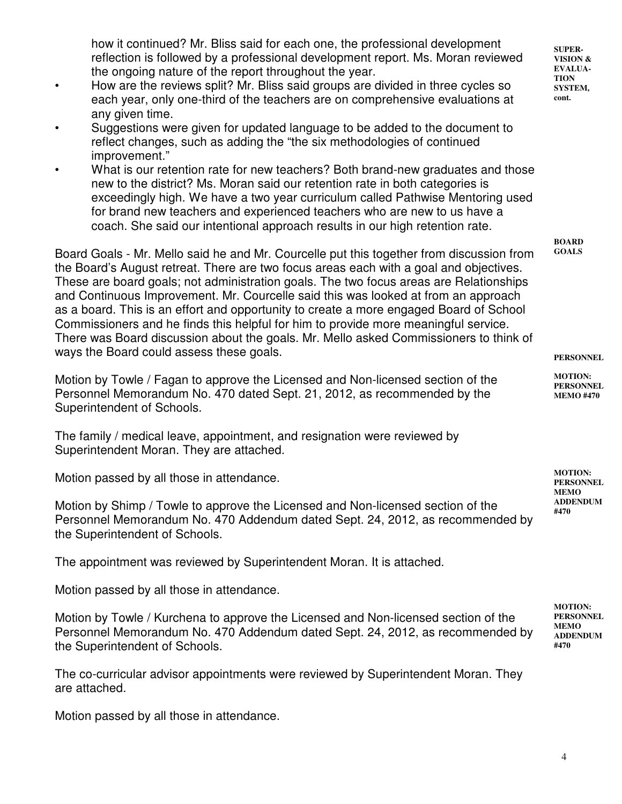how it continued? Mr. Bliss said for each one, the professional development reflection is followed by a professional development report. Ms. Moran reviewed the ongoing nature of the report throughout the year.

- How are the reviews split? Mr. Bliss said groups are divided in three cycles so each year, only one-third of the teachers are on comprehensive evaluations at any given time.
- Suggestions were given for updated language to be added to the document to reflect changes, such as adding the "the six methodologies of continued improvement."
- What is our retention rate for new teachers? Both brand-new graduates and those new to the district? Ms. Moran said our retention rate in both categories is exceedingly high. We have a two year curriculum called Pathwise Mentoring used for brand new teachers and experienced teachers who are new to us have a coach. She said our intentional approach results in our high retention rate.

Board Goals - Mr. Mello said he and Mr. Courcelle put this together from discussion from the Board's August retreat. There are two focus areas each with a goal and objectives. These are board goals; not administration goals. The two focus areas are Relationships and Continuous Improvement. Mr. Courcelle said this was looked at from an approach as a board. This is an effort and opportunity to create a more engaged Board of School Commissioners and he finds this helpful for him to provide more meaningful service. There was Board discussion about the goals. Mr. Mello asked Commissioners to think of ways the Board could assess these goals.

Motion by Towle / Fagan to approve the Licensed and Non-licensed section of the Personnel Memorandum No. 470 dated Sept. 21, 2012, as recommended by the Superintendent of Schools.

The family / medical leave, appointment, and resignation were reviewed by Superintendent Moran. They are attached.

Motion passed by all those in attendance.

Motion by Shimp / Towle to approve the Licensed and Non-licensed section of the Personnel Memorandum No. 470 Addendum dated Sept. 24, 2012, as recommended by the Superintendent of Schools.

The appointment was reviewed by Superintendent Moran. It is attached.

Motion passed by all those in attendance.

Motion by Towle / Kurchena to approve the Licensed and Non-licensed section of the Personnel Memorandum No. 470 Addendum dated Sept. 24, 2012, as recommended by the Superintendent of Schools.

The co-curricular advisor appointments were reviewed by Superintendent Moran. They are attached.

Motion passed by all those in attendance.

**SUPER-VISION & EVALUA-TION SYSTEM, cont.** 

**BOARD GOALS**

**PERSONNEL**

**MOTION: PERSONNEL MEMO #470**

**MOTION: PERSONNEL MEMO ADDENDUM #470**

**MOTION: PERSONNEL MEMO ADDENDUM #470**